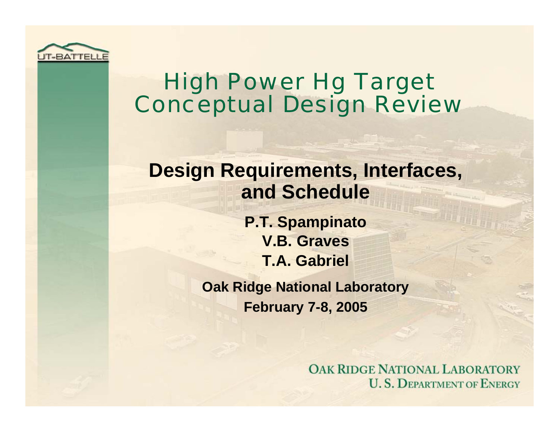

### High Power Hg Target Conceptual Design Review

#### **Design Requirements, Interfaces, and Schedule**

**P.T. Spampinato V.B. GravesT.A. Gabriel**

**Oak Ridge National Laboratory February 7-8, 2005**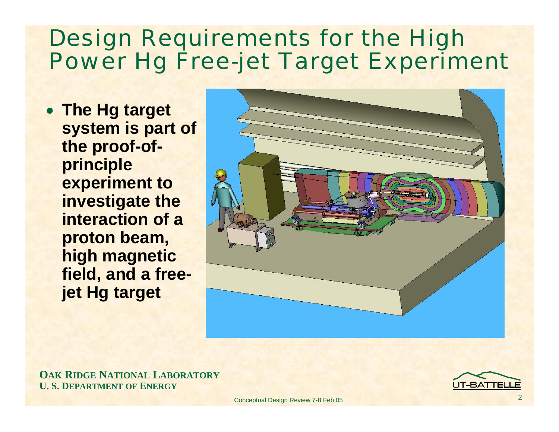## Design Requirements for the High Power Hg Free-jet Target Experiment

• **The Hg target system is part of the proof-ofprinciple experiment to investigate the interaction of a proton beam, high magnetic field, and a freejet Hg target**



**OAK RIDGE NATIONAL LABORATORY U. S. DEPARTMENT OF ENERGY**

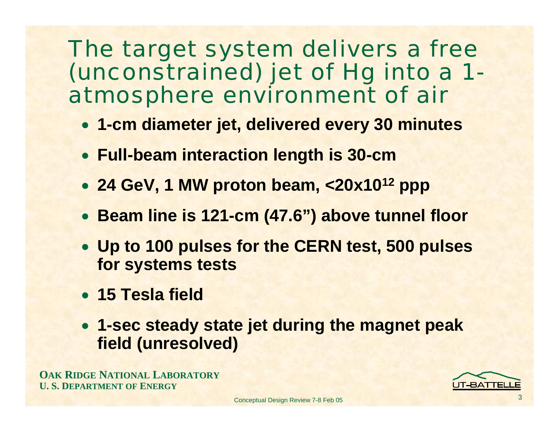#### The target system delivers a free (unconstrained) jet of Hg into a 1 atmosphere environment of air

- **1-cm diameter jet, delivered every 30 minutes**
- **Full-beam interaction length is 30-cm**
- **24 GeV, 1 MW proton beam, <20x1012 ppp**
- **Beam line is 121-cm (47.6") above tunnel floor**
- **Up to 100 pulses for the CERN test, 500 pulses for systems tests**
- **15 Tesla field**
- **1-sec steady state jet during the magnet peak field (unresolved)**

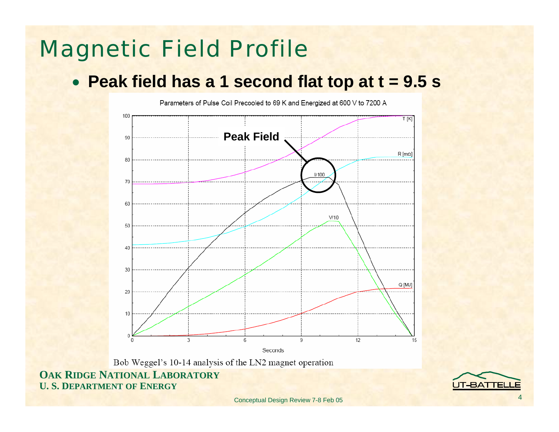## Magnetic Field Profile

#### • **Peak field has a 1 second flat top at t = 9.5 s**

Parameters of Pulse Coil Precooled to 69 K and Energized at 600 V to 7200 A 100  $T[K]$ **Peak Field**90  $R$  [m $\Omega$ ]  $R$  $1/100$ 70  $60$  $V/10$ 50 30 Q [MJ] 20 10  $\Omega$  $\mathcal{R}$ 9 12 15 Seconds

Bob Weggel's 10-14 analysis of the LN2 magnet operation

**OAK RIDGE NATIONAL LABORATORY U. S. DEPARTMENT OF ENERGY**

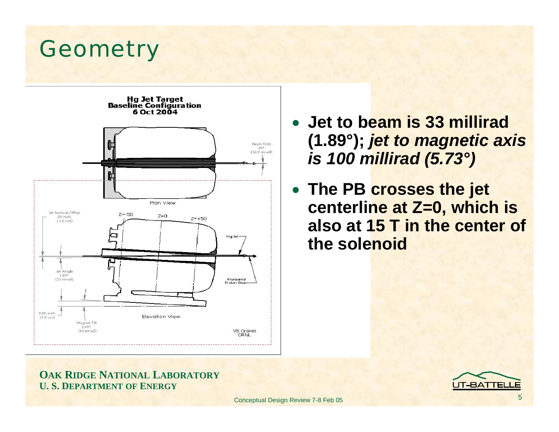#### **Geometry**



- **Jet to beam is 33 millirad(1.89°);** *jet to magnetic axis is 100 millirad (5.73°)*
- **The PB crosses the jet centerline at Z=0, which is also at 15 T in the center of the solenoid**

#### **OAK RIDGE NATIONAL LABORATORY U. S. DEPARTMENT OF ENERGY**

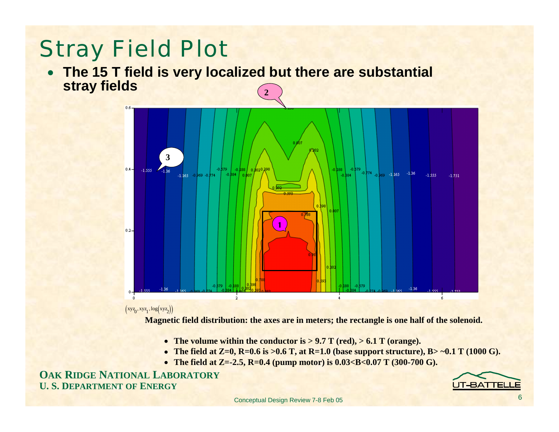# Stray Field Plot

• **The 15 T field is very localized but there are substantial stray fields 2**



 $(xyz_0, xyz_1, \log (xyz_2))$ 

**Magnetic field distribution: the axes are in meters; the rectangle is one half of the solenoid.** 

- **The volume within the conductor is > 9.7 T (red), > 6.1 T (orange).**
- The field at  $Z=0$ ,  $R=0.6$  is  $>0.6$  T, at  $R=1.0$  (base support structure),  $B>0.1$  T (1000 G).
- The field at **Z**=-2.5, **R**=0.4 (pump motor) is 0.03<B<0.07 T (300-700 G).

**OAK RIDGE NATIONAL LABORATORY U. S. DEPARTMENT OF ENERGY**

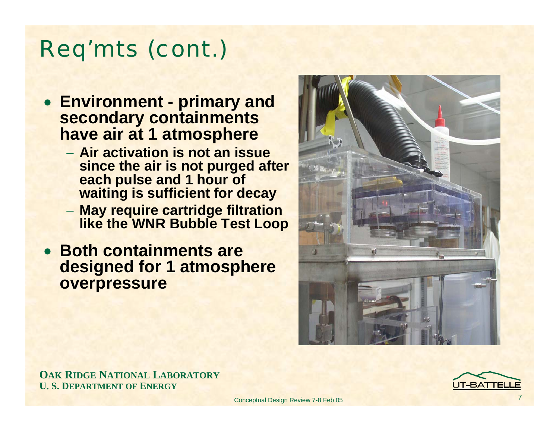## Req'mts (cont.)

- **Environment - primary and secondary containments have air at 1 atmosphere**
	- − **Air activation is not an issue since the air is not purged after each pulse and 1 hour of waiting is sufficient for decay**
	- **May require cartridge filtration like the WNR Bubble Test Loop**
- **Both containments are designed for 1 atmosphere overpressure**



**OAK RIDGE NATIONAL LABORATORY U. S. DEPARTMENT OF ENERGY**

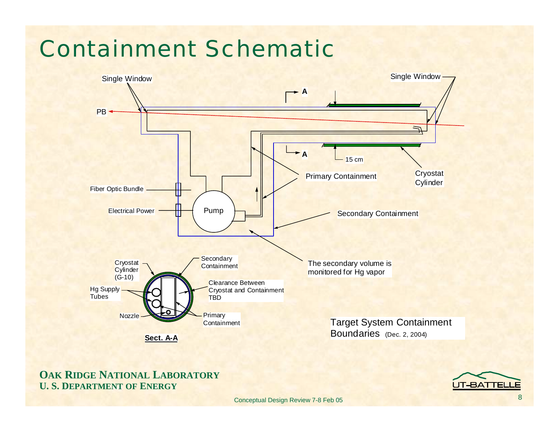## Containment Schematic



#### **OAK RIDGE NATIONAL LABORATORY U. S. DEPARTMENT OF ENERGY**

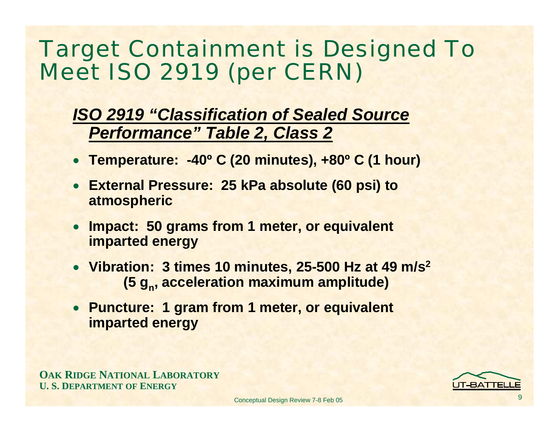## Target Containment is Designed To Meet ISO 2919 (per CERN)

#### *ISO 2919 "Classification of Sealed Source Performance" Table 2, Class 2*

- **Temperature: -40º C (20 minutes), +80º C (1 hour)**
- **External Pressure: 25 kPa absolute (60 psi) to atmospheric**
- • **Impact: 50 grams from 1 meter, or equivalent imparted energy**
- **Vibration: 3 times 10 minutes, 25-500 Hz at 49 m/s2 (5 g<sub>n</sub>, acceleration maximum amplitude)**
- **Puncture: 1 gram from 1 meter, or equivalent imparted energy**

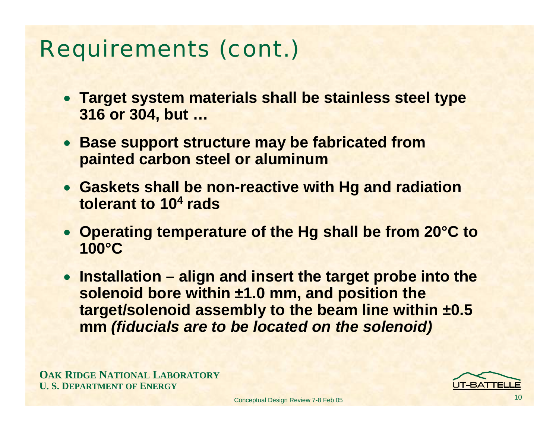# Requirements (cont.)

- **Target system materials shall be stainless steel type 316 or 304, but …**
- **Base support structure may be fabricated from painted carbon steel or aluminum**
- **Gaskets shall be non-reactive with Hg and radiation tolerant to 10<sup>4</sup> rads**
- **Operating temperature of the Hg shall be from 20°C to 100°C**
- **Installation – align and insert the target probe into the solenoid bore within ±1.0 mm, and position the target/solenoid assembly to the beam line within ±0.5 mm** *(fiducials are to be located on the solenoid)*

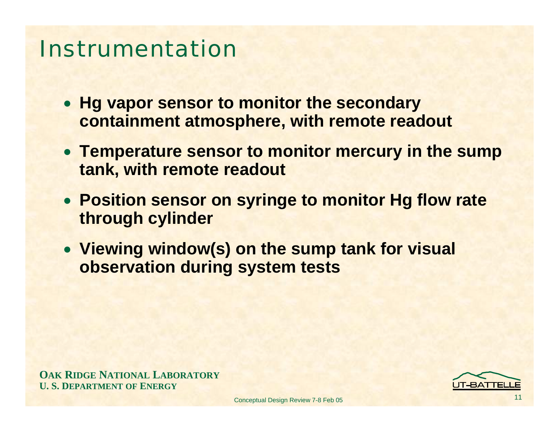#### Instrumentation

- **Hg vapor sensor to monitor the secondary containment atmosphere, with remote readout**
- **Temperature sensor to monitor mercury in the sump tank, with remote readout**
- **Position sensor on syringe to monitor Hg flow rate through cylinder**
- **Viewing window(s) on the sump tank for visual observation during system tests**

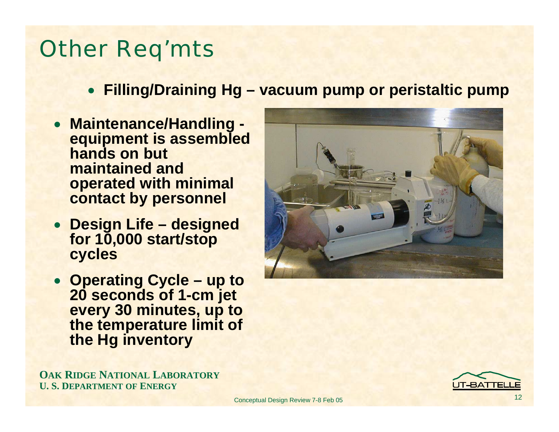### Other Req'mts

- **Filling/Draining Hg – vacuum pump or peristaltic pump**
- **Maintenance/Handling equipment is assembled hands on but maintained and operated with minimal contact by personnel**
- **Design Life – designed for 10,000 start/stop cycles**
- **Operating Cycle – up to 20 seconds of 1-cm jet every 30 minutes, up to the temperature limit of the Hg inventory**



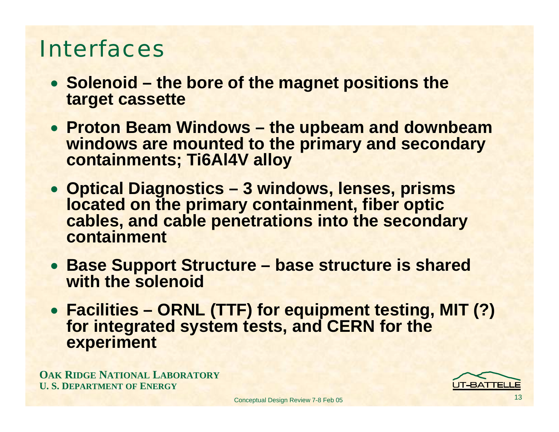#### Interfaces

- **Solenoid – the bore of the magnet positions the target cassette**
- **Proton Beam Windows – the upbeam and downbeam windows are mounted to the primary and secondary containments; Ti6Al4V alloy**
- **Optical Diagnostics – 3 windows, lenses, prisms located on the primary containment, fiber optic cables, and cable penetrations into the secondary containment**
- **Base Support Structure – base structure is shared with the solenoid**
- **Facilities – ORNL (TTF) for equipment testing, MIT (?) for integrated system tests, and CERN for the experiment**

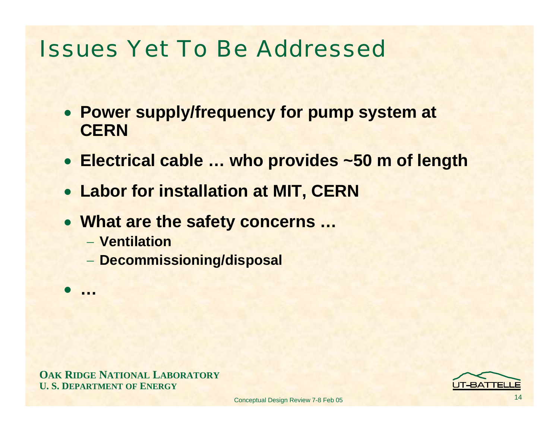#### Issues Yet To Be Addressed

- **Power supply/frequency for pump system at CERN**
- **Electrical cable … who provides ~50 m of length**
- **Labor for installation at MIT, CERN**
- **What are the safety concerns …**
	- − **Ventilation**

 $\bullet$ **…**

**Decommissioning/disposal**

**OAK RIDGE NATIONAL LABORATORY U. S. DEPARTMENT OF ENERGY**